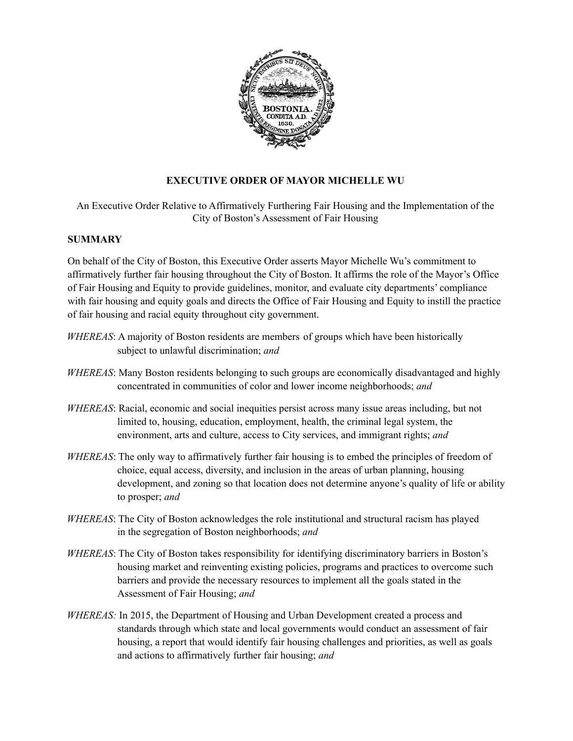

# **EXECUTIVE ORDER OF MAYOR MICHELLE WU**

An Executive Order Relative to Affirmatively Furthering Fair Housing and the Implementation of the City of Boston's Assessment of Fair Housing

### **SUMMARY**

On behalf of the City of Boston, this Executive Order asserts Mayor Michelle Wu's commitment to affirmatively further fair housing throughout the City of Boston. It affirms the role of the Mayor's Office of Fair Housing and Equity to provide guidelines, monitor, and evaluate city departments' compliance with fair housing and equity goals and directs the Office of Fair Housing and Equity to instill the practice of fair housing and racial equity throughout city government.

- *WHEREAS*: A majority of Boston residents are members of groups which have been historically subject to unlawful discrimination; *and*
- *WHEREAS*: Many Boston residents belonging to such groups are economically disadvantaged and highly concentrated in communities of color and lower income neighborhoods; *and*
- *WHEREAS*: Racial, economic and social inequities persist across many issue areas including, but not limited to, housing, education, employment, health, the criminal legal system, the environment, arts and culture, access to City services, and immigrant rights; *and*
- *WHEREAS*: The only way to affirmatively further fair housing is to embed the principles of freedom of choice, equal access, diversity, and inclusion in the areas of urban planning, housing development, and zoning so that location does not determine anyone's quality of life or ability to prosper; *and*
- *WHEREAS*: The City of Boston acknowledges the role institutional and structural racism has played in the segregation of Boston neighborhoods; *and*
- *WHEREAS*: The City of Boston takes responsibility for identifying discriminatory barriers in Boston's housing market and reinventing existing policies, programs and practices to overcome such barriers and provide the necessary resources to implement all the goals stated in the Assessment of Fair Housing; *and*
- *WHEREAS:* In 2015, the Department of Housing and Urban Development created a process and standards through which state and local governments would conduct an assessment of fair housing, a report that would identify fair housing challenges and priorities, as well as goals and actions to affirmatively further fair housing; *and*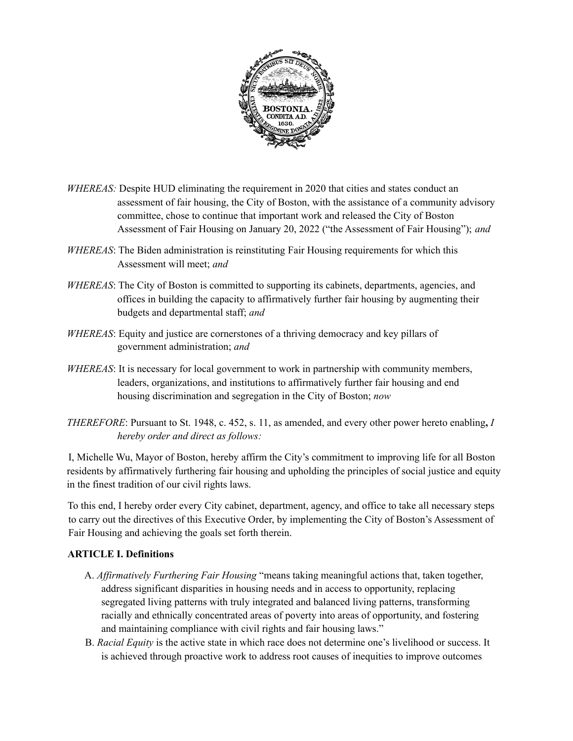

- *WHEREAS:* Despite HUD eliminating the requirement in 2020 that cities and states conduct an assessment of fair housing, the City of Boston, with the assistance of a community advisory committee, chose to continue that important work and released the City of Boston Assessment of Fair Housing on January 20, 2022 ("the Assessment of Fair Housing"); *and*
- *WHEREAS*: The Biden administration is reinstituting Fair Housing requirements for which this Assessment will meet; *and*
- *WHEREAS*: The City of Boston is committed to supporting its cabinets, departments, agencies, and offices in building the capacity to affirmatively further fair housing by augmenting their budgets and departmental staff; *and*
- *WHEREAS*: Equity and justice are cornerstones of a thriving democracy and key pillars of government administration; *and*
- *WHEREAS*: It is necessary for local government to work in partnership with community members, leaders, organizations, and institutions to affirmatively further fair housing and end housing discrimination and segregation in the City of Boston; *now*
- *THEREFORE*: Pursuant to St. 1948, c. 452, s. 11, as amended, and every other power hereto enabling**,** *I hereby order and direct as follows:*

I, Michelle Wu, Mayor of Boston, hereby affirm the City's commitment to improving life for all Boston residents by affirmatively furthering fair housing and upholding the principles of social justice and equity in the finest tradition of our civil rights laws.

To this end, I hereby order every City cabinet, department, agency, and office to take all necessary steps to carry out the directives of this Executive Order, by implementing the City of Boston's Assessment of Fair Housing and achieving the goals set forth therein.

### **ARTICLE I. Definitions**

- A. *Af irmatively Furthering Fair Housing* "means taking meaningful actions that, taken together, address significant disparities in housing needs and in access to opportunity, replacing segregated living patterns with truly integrated and balanced living patterns, transforming racially and ethnically concentrated areas of poverty into areas of opportunity, and fostering and maintaining compliance with civil rights and fair housing laws."
- B. *Racial Equity* is the active state in which race does not determine one's livelihood or success. It is achieved through proactive work to address root causes of inequities to improve outcomes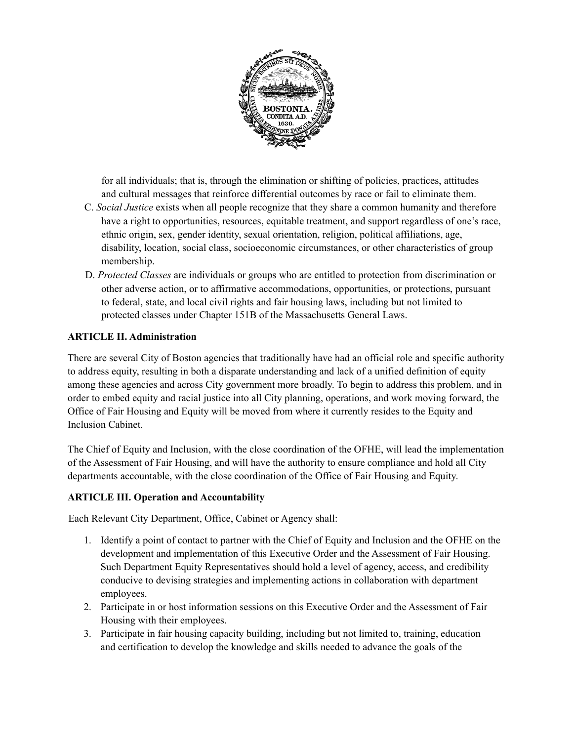

for all individuals; that is, through the elimination or shifting of policies, practices, attitudes and cultural messages that reinforce differential outcomes by race or fail to eliminate them.

- C. *Social Justice* exists when all people recognize that they share a common humanity and therefore have a right to opportunities, resources, equitable treatment, and support regardless of one's race, ethnic origin, sex, gender identity, sexual orientation, religion, political affiliations, age, disability, location, social class, socioeconomic circumstances, or other characteristics of group membership.
- D. *Protected Classes* are individuals or groups who are entitled to protection from discrimination or other adverse action, or to affirmative accommodations, opportunities, or protections, pursuant to federal, state, and local civil rights and fair housing laws, including but not limited to protected classes under Chapter 151B of the Massachusetts General Laws.

### **ARTICLE II. Administration**

There are several City of Boston agencies that traditionally have had an official role and specific authority to address equity, resulting in both a disparate understanding and lack of a unified definition of equity among these agencies and across City government more broadly. To begin to address this problem, and in order to embed equity and racial justice into all City planning, operations, and work moving forward, the Office of Fair Housing and Equity will be moved from where it currently resides to the Equity and Inclusion Cabinet.

The Chief of Equity and Inclusion, with the close coordination of the OFHE, will lead the implementation of the Assessment of Fair Housing, and will have the authority to ensure compliance and hold all City departments accountable, with the close coordination of the Office of Fair Housing and Equity.

### **ARTICLE III. Operation and Accountability**

Each Relevant City Department, Office, Cabinet or Agency shall:

- 1. Identify a point of contact to partner with the Chief of Equity and Inclusion and the OFHE on the development and implementation of this Executive Order and the Assessment of Fair Housing. Such Department Equity Representatives should hold a level of agency, access, and credibility conducive to devising strategies and implementing actions in collaboration with department employees.
- 2. Participate in or host information sessions on this Executive Order and the Assessment of Fair Housing with their employees.
- 3. Participate in fair housing capacity building, including but not limited to, training, education and certification to develop the knowledge and skills needed to advance the goals of the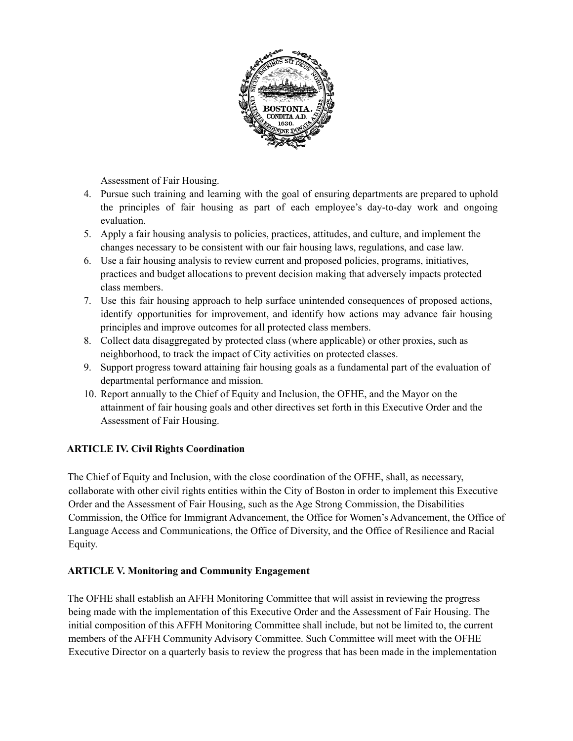

Assessment of Fair Housing.

- 4. Pursue such training and learning with the goal of ensuring departments are prepared to uphold the principles of fair housing as part of each employee's day-to-day work and ongoing evaluation.
- 5. Apply a fair housing analysis to policies, practices, attitudes, and culture, and implement the changes necessary to be consistent with our fair housing laws, regulations, and case law.
- 6. Use a fair housing analysis to review current and proposed policies, programs, initiatives, practices and budget allocations to prevent decision making that adversely impacts protected class members.
- 7. Use this fair housing approach to help surface unintended consequences of proposed actions, identify opportunities for improvement, and identify how actions may advance fair housing principles and improve outcomes for all protected class members.
- 8. Collect data disaggregated by protected class (where applicable) or other proxies, such as neighborhood, to track the impact of City activities on protected classes.
- 9. Support progress toward attaining fair housing goals as a fundamental part of the evaluation of departmental performance and mission.
- 10. Report annually to the Chief of Equity and Inclusion, the OFHE, and the Mayor on the attainment of fair housing goals and other directives set forth in this Executive Order and the Assessment of Fair Housing.

## **ARTICLE IV. Civil Rights Coordination**

The Chief of Equity and Inclusion, with the close coordination of the OFHE, shall, as necessary, collaborate with other civil rights entities within the City of Boston in order to implement this Executive Order and the Assessment of Fair Housing, such as the Age Strong Commission, the Disabilities Commission, the Office for Immigrant Advancement, the Office for Women's Advancement, the Office of Language Access and Communications, the Office of Diversity, and the Office of Resilience and Racial Equity.

## **ARTICLE V. Monitoring and Community Engagement**

The OFHE shall establish an AFFH Monitoring Committee that will assist in reviewing the progress being made with the implementation of this Executive Order and the Assessment of Fair Housing. The initial composition of this AFFH Monitoring Committee shall include, but not be limited to, the current members of the AFFH Community Advisory Committee. Such Committee will meet with the OFHE Executive Director on a quarterly basis to review the progress that has been made in the implementation